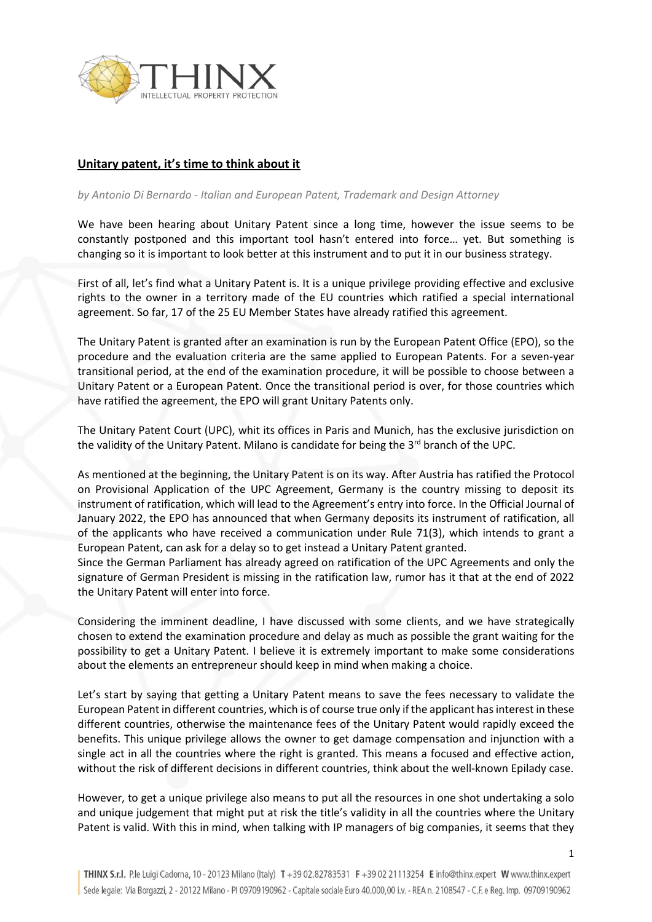

## **Unitary patent, it's time to think about it**

## *by Antonio Di Bernardo - Italian and European Patent, Trademark and Design Attorney*

We have been hearing about Unitary Patent since a long time, however the issue seems to be constantly postponed and this important tool hasn't entered into force… yet. But something is changing so it is important to look better at this instrument and to put it in our business strategy.

First of all, let's find what a Unitary Patent is. It is a unique privilege providing effective and exclusive rights to the owner in a territory made of the EU countries which ratified a special international agreement. So far, 17 of the 25 EU Member States have already ratified this agreement.

The Unitary Patent is granted after an examination is run by the European Patent Office (EPO), so the procedure and the evaluation criteria are the same applied to European Patents. For a seven-year transitional period, at the end of the examination procedure, it will be possible to choose between a Unitary Patent or a European Patent. Once the transitional period is over, for those countries which have ratified the agreement, the EPO will grant Unitary Patents only.

The Unitary Patent Court (UPC), whit its offices in Paris and Munich, has the exclusive jurisdiction on the validity of the Unitary Patent. Milano is candidate for being the 3<sup>rd</sup> branch of the UPC.

As mentioned at the beginning, the Unitary Patent is on its way. After Austria has ratified the Protocol on Provisional Application of the UPC Agreement, Germany is the country missing to deposit its instrument of ratification, which will lead to the Agreement's entry into force. In the Official Journal of January 2022, the EPO has announced that when Germany deposits its instrument of ratification, all of the applicants who have received a communication under Rule 71(3), which intends to grant a European Patent, can ask for a delay so to get instead a Unitary Patent granted.

Since the German Parliament has already agreed on ratification of the UPC Agreements and only the signature of German President is missing in the ratification law, rumor has it that at the end of 2022 the Unitary Patent will enter into force.

Considering the imminent deadline, I have discussed with some clients, and we have strategically chosen to extend the examination procedure and delay as much as possible the grant waiting for the possibility to get a Unitary Patent. I believe it is extremely important to make some considerations about the elements an entrepreneur should keep in mind when making a choice.

Let's start by saying that getting a Unitary Patent means to save the fees necessary to validate the European Patent in different countries, which is of course true only if the applicant has interest in these different countries, otherwise the maintenance fees of the Unitary Patent would rapidly exceed the benefits. This unique privilege allows the owner to get damage compensation and injunction with a single act in all the countries where the right is granted. This means a focused and effective action, without the risk of different decisions in different countries, think about the well-known Epilady case.

However, to get a unique privilege also means to put all the resources in one shot undertaking a solo and unique judgement that might put at risk the title's validity in all the countries where the Unitary Patent is valid. With this in mind, when talking with IP managers of big companies, it seems that they